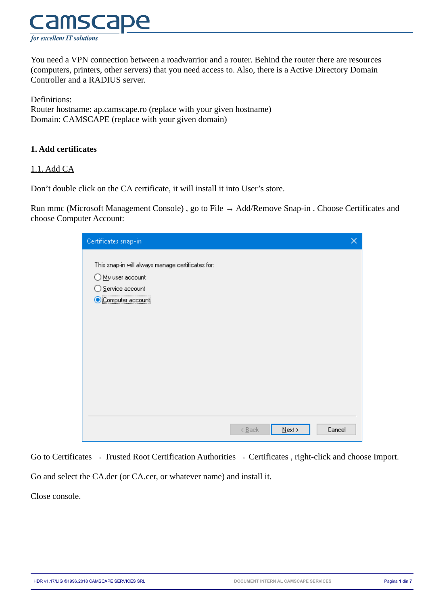

You need a VPN connection between a roadwarrior and a router. Behind the router there are resources (computers, printers, other servers) that you need access to. Also, there is a Active Directory Domain Controller and a RADIUS server.

Definitions: Router hostname: ap.camscape.ro (replace with your given hostname) Domain: CAMSCAPE (replace with your given domain)

## **1. Add certificates**

### 1.1. Add CA

Don't double click on the CA certificate, it will install it into User's store.

Run mmc (Microsoft Management Console) , go to File → Add/Remove Snap-in . Choose Certificates and choose Computer Account:

| Certificates snap-in                                                                                        |                                     |           |        |
|-------------------------------------------------------------------------------------------------------------|-------------------------------------|-----------|--------|
| This snap-in will always manage certificates for:<br>My user account<br>Service account<br>Computer account |                                     |           |        |
|                                                                                                             | $\leq$ $\underline{\mathsf{B}}$ ack | $N$ ext > | Cancel |

Go to Certificates → Trusted Root Certification Authorities → Certificates , right-click and choose Import.

Go and select the CA.der (or CA.cer, or whatever name) and install it.

Close console.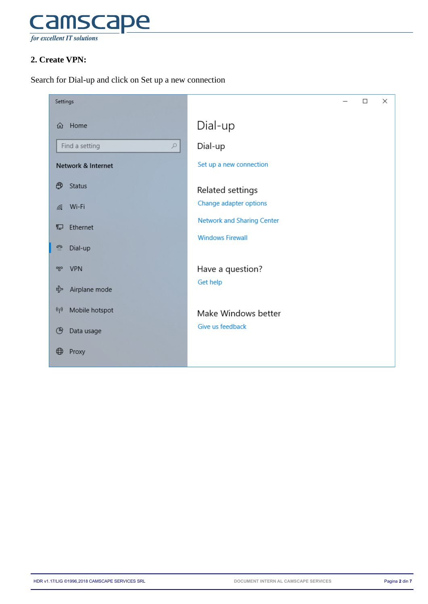

# **2. Create VPN:**

Search for Dial-up and click on Set up a new connection

| Settings                      |                                   | $\Box$ | $\times$ |
|-------------------------------|-----------------------------------|--------|----------|
| Home<br>⋒                     | Dial-up                           |        |          |
| Find a setting<br>$\varphi$   | Dial-up                           |        |          |
| Network & Internet            | Set up a new connection           |        |          |
| ⊕<br>Status                   | Related settings                  |        |          |
| Wi-Fi<br>lle.                 | Change adapter options            |        |          |
| 臣<br>Ethernet                 | <b>Network and Sharing Center</b> |        |          |
| ி<br>Dial-up                  | <b>Windows Firewall</b>           |        |          |
| <b>VPN</b><br>တွာ             | Have a question?                  |        |          |
| Airplane mode<br>☆            | Get help                          |        |          |
| $(\varphi)$<br>Mobile hotspot | Make Windows better               |        |          |
| ල<br>Data usage               | Give us feedback                  |        |          |
| ⊕<br>Proxy                    |                                   |        |          |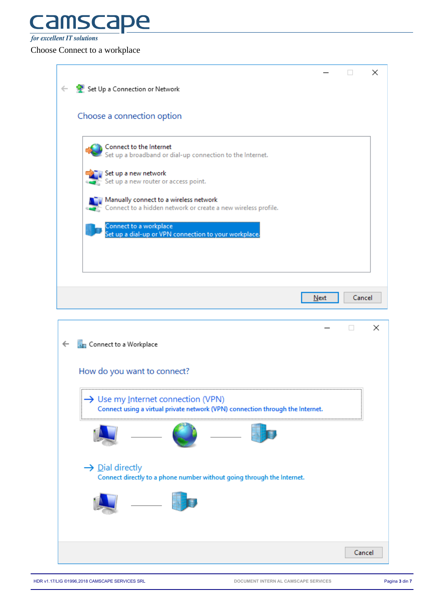# **Camsca** pe

**for excellent IT solutions** 

Choose Connect to a workplace

| ← C Set Up a Connection or Network<br>Choose a connection option<br>Connect to the Internet<br>Set up a broadband or dial-up connection to the Internet.<br>Set up a new network<br>Set up a new router or access point.<br>Manually connect to a wireless network<br>Connect to a hidden network or create a new wireless profile.<br>Connect to a workplace<br>Set up a dial-up or VPN connection to your workplace.<br>Cancel<br>Next<br>×<br>П<br>Connect to a Workplace<br>$\leftarrow$<br>How do you want to connect?<br>→ Use my Internet connection (VPN)<br>Connect using a virtual private network (VPN) connection through the Internet.<br>$\rightarrow$ Dial directly<br>Connect directly to a phone number without going through the Internet. |
|--------------------------------------------------------------------------------------------------------------------------------------------------------------------------------------------------------------------------------------------------------------------------------------------------------------------------------------------------------------------------------------------------------------------------------------------------------------------------------------------------------------------------------------------------------------------------------------------------------------------------------------------------------------------------------------------------------------------------------------------------------------|
|                                                                                                                                                                                                                                                                                                                                                                                                                                                                                                                                                                                                                                                                                                                                                              |
|                                                                                                                                                                                                                                                                                                                                                                                                                                                                                                                                                                                                                                                                                                                                                              |
|                                                                                                                                                                                                                                                                                                                                                                                                                                                                                                                                                                                                                                                                                                                                                              |
|                                                                                                                                                                                                                                                                                                                                                                                                                                                                                                                                                                                                                                                                                                                                                              |
|                                                                                                                                                                                                                                                                                                                                                                                                                                                                                                                                                                                                                                                                                                                                                              |
|                                                                                                                                                                                                                                                                                                                                                                                                                                                                                                                                                                                                                                                                                                                                                              |
|                                                                                                                                                                                                                                                                                                                                                                                                                                                                                                                                                                                                                                                                                                                                                              |
|                                                                                                                                                                                                                                                                                                                                                                                                                                                                                                                                                                                                                                                                                                                                                              |
|                                                                                                                                                                                                                                                                                                                                                                                                                                                                                                                                                                                                                                                                                                                                                              |
|                                                                                                                                                                                                                                                                                                                                                                                                                                                                                                                                                                                                                                                                                                                                                              |
|                                                                                                                                                                                                                                                                                                                                                                                                                                                                                                                                                                                                                                                                                                                                                              |
|                                                                                                                                                                                                                                                                                                                                                                                                                                                                                                                                                                                                                                                                                                                                                              |
|                                                                                                                                                                                                                                                                                                                                                                                                                                                                                                                                                                                                                                                                                                                                                              |
|                                                                                                                                                                                                                                                                                                                                                                                                                                                                                                                                                                                                                                                                                                                                                              |
|                                                                                                                                                                                                                                                                                                                                                                                                                                                                                                                                                                                                                                                                                                                                                              |
|                                                                                                                                                                                                                                                                                                                                                                                                                                                                                                                                                                                                                                                                                                                                                              |
|                                                                                                                                                                                                                                                                                                                                                                                                                                                                                                                                                                                                                                                                                                                                                              |
|                                                                                                                                                                                                                                                                                                                                                                                                                                                                                                                                                                                                                                                                                                                                                              |
|                                                                                                                                                                                                                                                                                                                                                                                                                                                                                                                                                                                                                                                                                                                                                              |
|                                                                                                                                                                                                                                                                                                                                                                                                                                                                                                                                                                                                                                                                                                                                                              |
|                                                                                                                                                                                                                                                                                                                                                                                                                                                                                                                                                                                                                                                                                                                                                              |
|                                                                                                                                                                                                                                                                                                                                                                                                                                                                                                                                                                                                                                                                                                                                                              |
|                                                                                                                                                                                                                                                                                                                                                                                                                                                                                                                                                                                                                                                                                                                                                              |
|                                                                                                                                                                                                                                                                                                                                                                                                                                                                                                                                                                                                                                                                                                                                                              |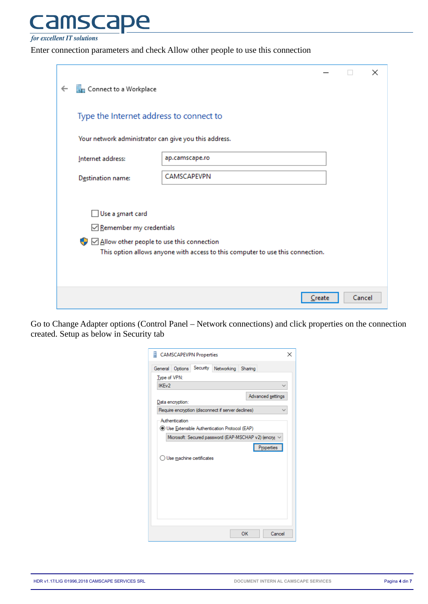#### mscal  $\mathsf{P}\mathsf{C}$ a

**for excellent IT solutions** 

Enter connection parameters and check Allow other people to use this connection

|                                                       |                                                                                |        |        | × |
|-------------------------------------------------------|--------------------------------------------------------------------------------|--------|--------|---|
| Connect to a Workplace                                |                                                                                |        |        |   |
| Type the Internet address to connect to               |                                                                                |        |        |   |
| Your network administrator can give you this address. |                                                                                |        |        |   |
| Internet address:                                     | ap.camscape.ro                                                                 |        |        |   |
| Destination name:                                     | CAMSCAPEVPN                                                                    |        |        |   |
|                                                       |                                                                                |        |        |   |
| Use a smart card                                      |                                                                                |        |        |   |
| Remember my credentials                               |                                                                                |        |        |   |
| Allow other people to use this connection             |                                                                                |        |        |   |
|                                                       | This option allows anyone with access to this computer to use this connection. |        |        |   |
|                                                       |                                                                                |        |        |   |
|                                                       |                                                                                | Create | Cancel |   |

Go to Change Adapter options (Control Panel – Network connections) and click properties on the connection created. Setup as below in Security tab

| <b>CAMSCAPEVPN Properties</b>                                                                                        |    |                   |
|----------------------------------------------------------------------------------------------------------------------|----|-------------------|
| Options Security Networking Sharing<br>General<br>Type of VPN:                                                       |    |                   |
| IKE <sub>v2</sub><br>Data encryption:                                                                                |    | Advanced settings |
| Require encryption (disconnect if server declines)<br>Authentication<br>Use Extensible Authentication Protocol (EAP) |    |                   |
| Microsoft: Secured password (EAP-MSCHAP v2) (encry)                                                                  |    | Properties        |
| ◯ Use machine certificates                                                                                           |    |                   |
|                                                                                                                      |    |                   |
|                                                                                                                      |    |                   |
|                                                                                                                      | OK | Cancel            |

HDR v1.17/LIG ©1996,2018 CAMSCAPE SERVICES SRL **DOCUMENT INTERN AL CAMSCAPE SERVICES** Pagina **4** din **7**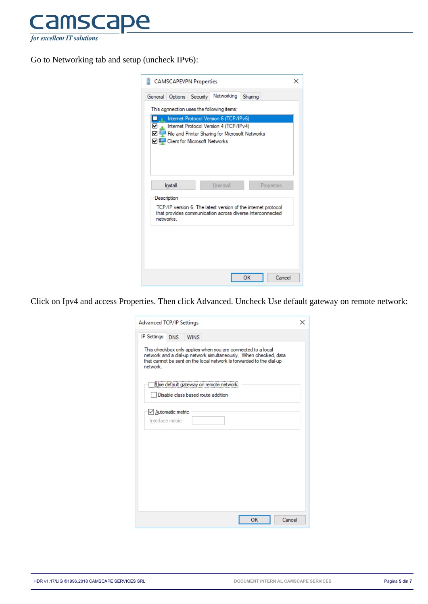

Go to Networking tab and setup (uncheck IPv6):

| <b>CAMSCAPEVPN Properties</b>                                                                                                                                                               |  |
|---------------------------------------------------------------------------------------------------------------------------------------------------------------------------------------------|--|
| Networking<br>Security<br>General<br>Options<br>Sharing                                                                                                                                     |  |
| This connection uses the following items:                                                                                                                                                   |  |
| <b>Example 1</b> Internet Protocol Version 6 (TCP/IPv6)<br>The Internet Protocol Version 4 (TCP/IPv4)<br>☑ Vetworks<br>□ - Client for Microsoft Networks                                    |  |
| Install<br>Uninstall<br>Properties<br>Description<br>TCP/IP version 6. The latest version of the internet protocol<br>that provides communication across diverse interconnected<br>networks |  |
|                                                                                                                                                                                             |  |
| OK<br>Cancel                                                                                                                                                                                |  |

Click on Ipv4 and access Properties. Then click Advanced. Uncheck Use default gateway on remote network:

| <b>IP Settings</b><br><b>WINS</b><br><b>DNS</b>                                                                                                                                                                      |  |
|----------------------------------------------------------------------------------------------------------------------------------------------------------------------------------------------------------------------|--|
|                                                                                                                                                                                                                      |  |
| This checkbox only applies when you are connected to a local<br>network and a dial-up network simultaneously. When checked, data<br>that cannot be sent on the local network is forwarded to the dial-up<br>network. |  |
| Use default gateway on remote network<br>Disable class based route addition                                                                                                                                          |  |
| √ Automatic metric<br>Interface metric:                                                                                                                                                                              |  |
|                                                                                                                                                                                                                      |  |
|                                                                                                                                                                                                                      |  |
|                                                                                                                                                                                                                      |  |
| Cancel<br>OK                                                                                                                                                                                                         |  |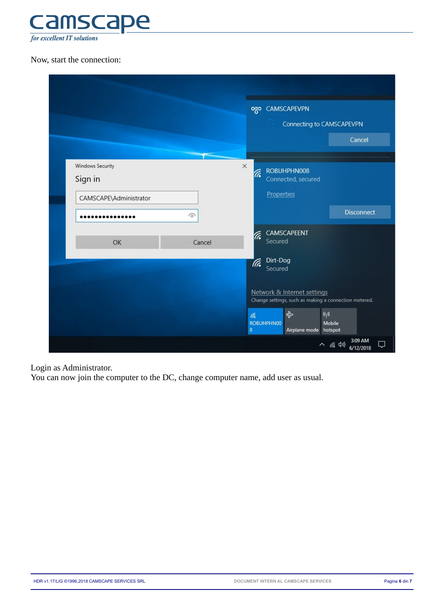

# Now, start the connection:

|                                                       |        | ozo CAMSCAPEVPN                                                                                                               |
|-------------------------------------------------------|--------|-------------------------------------------------------------------------------------------------------------------------------|
|                                                       |        | Connecting to CAMSCAPEVPN                                                                                                     |
|                                                       |        | Cancel                                                                                                                        |
| Windows Security<br>Sign in<br>CAMSCAPE\Administrator |        | $\times$<br>ROBUHPHN008<br>F.<br>Connected, secured<br>Properties                                                             |
|                                                       | ⋒      | <b>Disconnect</b>                                                                                                             |
| OK                                                    | Cancel | CAMSCAPEENT<br>ſr.<br>Secured                                                                                                 |
|                                                       |        | Dirt-Dog<br>Tre.<br>Secured                                                                                                   |
|                                                       |        | Network & Internet settings<br>Change settings, such as making a connection metered.                                          |
|                                                       |        | $\langle \! \langle \cdot   \cdot \rangle \! \rangle$<br>吟<br>lh.<br>Mobile<br>ROBUHPHN00<br>$\bf 8$<br>Airplane mode hotspot |
|                                                       |        | 3:09 AM<br>△ (尿 (1))<br>6/12/2018                                                                                             |

Login as Administrator.

You can now join the computer to the DC, change computer name, add user as usual.